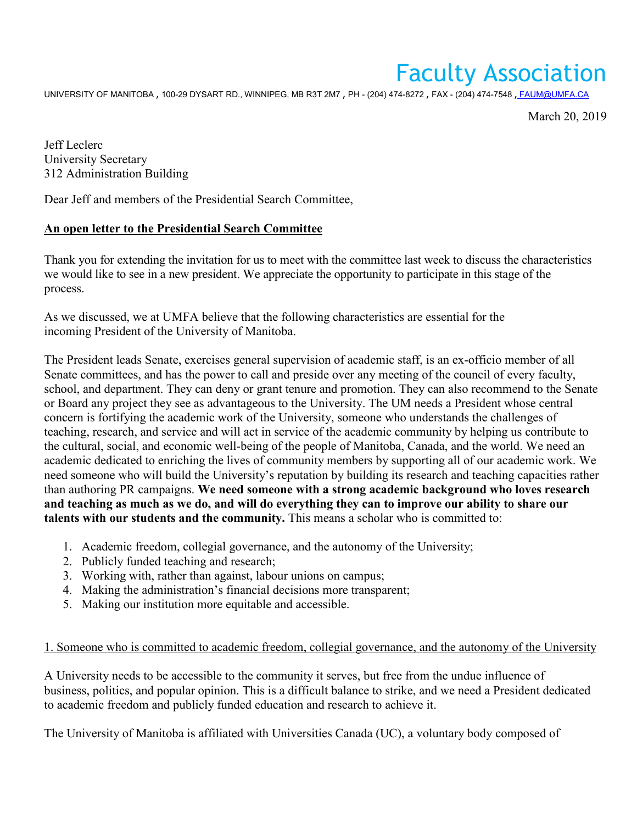# Faculty Association

UNIVERSITY OF MANITOBA , 100-29 DYSART RD., WINNIPEG, MB R3T 2M7 , PH - (204) 474-8272 , FAX - (204) 474-7548 , [FAUM@UMFA.CA](mailto:_FAUM@UMFA.CA)

March 20, 2019

Jeff Leclerc University Secretary 312 Administration Building

Dear Jeff and members of the Presidential Search Committee,

## **An open letter to the Presidential Search Committee**

Thank you for extending the invitation for us to meet with the committee last week to discuss the characteristics we would like to see in a new president. We appreciate the opportunity to participate in this stage of the process.

As we discussed, we at UMFA believe that the following characteristics are essential for the incoming President of the University of Manitoba.

The President leads Senate, exercises general supervision of academic staff, is an ex-officio member of all Senate committees, and has the power to call and preside over any meeting of the council of every faculty, school, and department. They can deny or grant tenure and promotion. They can also recommend to the Senate or Board any project they see as advantageous to the University. The UM needs a President whose central concern is fortifying the academic work of the University, someone who understands the challenges of teaching, research, and service and will act in service of the academic community by helping us contribute to the cultural, social, and economic well-being of the people of Manitoba, Canada, and the world. We need an academic dedicated to enriching the lives of community members by supporting all of our academic work. We need someone who will build the University's reputation by building its research and teaching capacities rather than authoring PR campaigns. **We need someone with a strong academic background who loves research and teaching as much as we do, and will do everything they can to improve our ability to share our talents with our students and the community.** This means a scholar who is committed to:

- 1. Academic freedom, collegial governance, and the autonomy of the University;
- 2. Publicly funded teaching and research;
- 3. Working with, rather than against, labour unions on campus;
- 4. Making the administration's financial decisions more transparent;
- 5. Making our institution more equitable and accessible.

## 1. Someone who is committed to academic freedom, collegial governance, and the autonomy of the University

A University needs to be accessible to the community it serves, but free from the undue influence of business, politics, and popular opinion. This is a difficult balance to strike, and we need a President dedicated to academic freedom and publicly funded education and research to achieve it.

The University of Manitoba is affiliated with Universities Canada (UC), a voluntary body composed of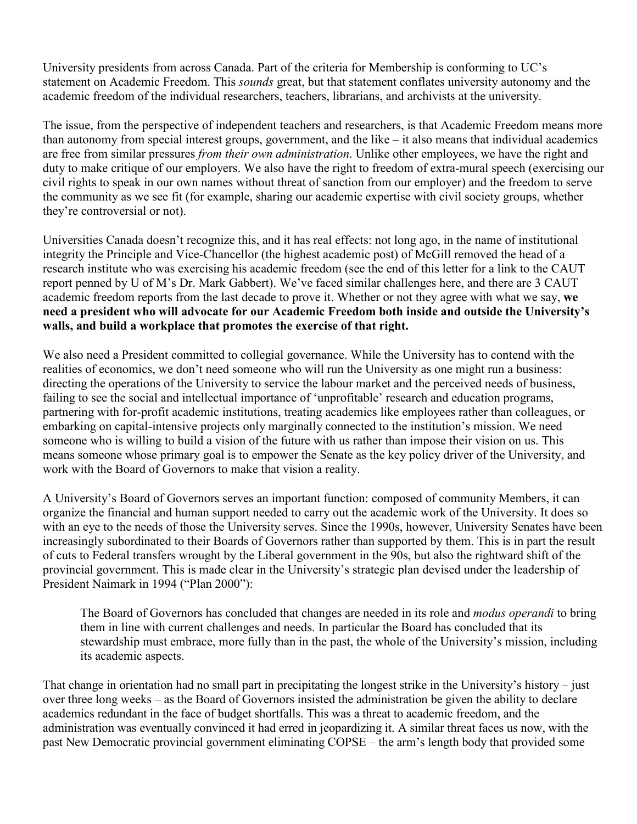University presidents from across Canada. Part of the criteria for Membership is conforming to UC's statement on Academic Freedom. This *sounds* great, but that statement conflates university autonomy and the academic freedom of the individual researchers, teachers, librarians, and archivists at the university.

The issue, from the perspective of independent teachers and researchers, is that Academic Freedom means more than autonomy from special interest groups, government, and the like – it also means that individual academics are free from similar pressures *from their own administration*. Unlike other employees, we have the right and duty to make critique of our employers. We also have the right to freedom of extra-mural speech (exercising our civil rights to speak in our own names without threat of sanction from our employer) and the freedom to serve the community as we see fit (for example, sharing our academic expertise with civil society groups, whether they're controversial or not).

Universities Canada doesn't recognize this, and it has real effects: not long ago, in the name of institutional integrity the Principle and Vice-Chancellor (the highest academic post) of McGill removed the head of a research institute who was exercising his academic freedom (see the end of this letter for a link to the CAUT report penned by U of M's Dr. Mark Gabbert). We've faced similar challenges here, and there are 3 CAUT academic freedom reports from the last decade to prove it. Whether or not they agree with what we say, **we need a president who will advocate for our Academic Freedom both inside and outside the University's walls, and build a workplace that promotes the exercise of that right.**

We also need a President committed to collegial governance. While the University has to contend with the realities of economics, we don't need someone who will run the University as one might run a business: directing the operations of the University to service the labour market and the perceived needs of business, failing to see the social and intellectual importance of 'unprofitable' research and education programs, partnering with for-profit academic institutions, treating academics like employees rather than colleagues, or embarking on capital-intensive projects only marginally connected to the institution's mission. We need someone who is willing to build a vision of the future with us rather than impose their vision on us. This means someone whose primary goal is to empower the Senate as the key policy driver of the University, and work with the Board of Governors to make that vision a reality.

A University's Board of Governors serves an important function: composed of community Members, it can organize the financial and human support needed to carry out the academic work of the University. It does so with an eye to the needs of those the University serves. Since the 1990s, however, University Senates have been increasingly subordinated to their Boards of Governors rather than supported by them. This is in part the result of cuts to Federal transfers wrought by the Liberal government in the 90s, but also the rightward shift of the provincial government. This is made clear in the University's strategic plan devised under the leadership of President Naimark in 1994 ("Plan 2000"):

The Board of Governors has concluded that changes are needed in its role and *modus operandi* to bring them in line with current challenges and needs. In particular the Board has concluded that its stewardship must embrace, more fully than in the past, the whole of the University's mission, including its academic aspects.

That change in orientation had no small part in precipitating the longest strike in the University's history – just over three long weeks – as the Board of Governors insisted the administration be given the ability to declare academics redundant in the face of budget shortfalls. This was a threat to academic freedom, and the administration was eventually convinced it had erred in jeopardizing it. A similar threat faces us now, with the past New Democratic provincial government eliminating COPSE – the arm's length body that provided some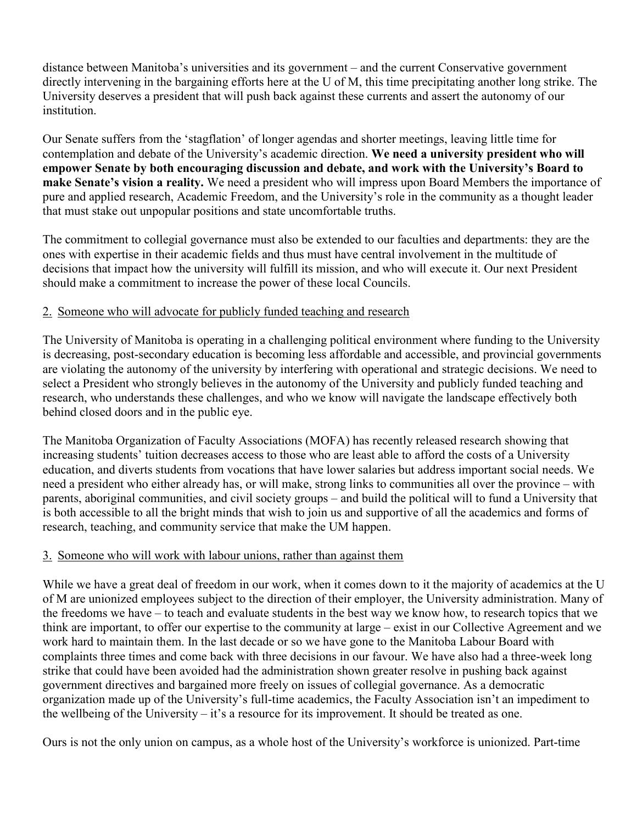distance between Manitoba's universities and its government – and the current Conservative government directly intervening in the bargaining efforts here at the U of M, this time precipitating another long strike. The University deserves a president that will push back against these currents and assert the autonomy of our institution.

Our Senate suffers from the 'stagflation' of longer agendas and shorter meetings, leaving little time for contemplation and debate of the University's academic direction. **We need a university president who will empower Senate by both encouraging discussion and debate, and work with the University's Board to make Senate's vision a reality.** We need a president who will impress upon Board Members the importance of pure and applied research, Academic Freedom, and the University's role in the community as a thought leader that must stake out unpopular positions and state uncomfortable truths.

The commitment to collegial governance must also be extended to our faculties and departments: they are the ones with expertise in their academic fields and thus must have central involvement in the multitude of decisions that impact how the university will fulfill its mission, and who will execute it. Our next President should make a commitment to increase the power of these local Councils.

### 2. Someone who will advocate for publicly funded teaching and research

The University of Manitoba is operating in a challenging political environment where funding to the University is decreasing, post-secondary education is becoming less affordable and accessible, and provincial governments are violating the autonomy of the university by interfering with operational and strategic decisions. We need to select a President who strongly believes in the autonomy of the University and publicly funded teaching and research, who understands these challenges, and who we know will navigate the landscape effectively both behind closed doors and in the public eye.

The Manitoba Organization of Faculty Associations (MOFA) has recently released research showing that increasing students' tuition decreases access to those who are least able to afford the costs of a University education, and diverts students from vocations that have lower salaries but address important social needs. We need a president who either already has, or will make, strong links to communities all over the province – with parents, aboriginal communities, and civil society groups – and build the political will to fund a University that is both accessible to all the bright minds that wish to join us and supportive of all the academics and forms of research, teaching, and community service that make the UM happen.

## 3. Someone who will work with labour unions, rather than against them

While we have a great deal of freedom in our work, when it comes down to it the majority of academics at the U of M are unionized employees subject to the direction of their employer, the University administration. Many of the freedoms we have – to teach and evaluate students in the best way we know how, to research topics that we think are important, to offer our expertise to the community at large – exist in our Collective Agreement and we work hard to maintain them. In the last decade or so we have gone to the Manitoba Labour Board with complaints three times and come back with three decisions in our favour. We have also had a three-week long strike that could have been avoided had the administration shown greater resolve in pushing back against government directives and bargained more freely on issues of collegial governance. As a democratic organization made up of the University's full-time academics, the Faculty Association isn't an impediment to the wellbeing of the University – it's a resource for its improvement. It should be treated as one.

Ours is not the only union on campus, as a whole host of the University's workforce is unionized. Part-time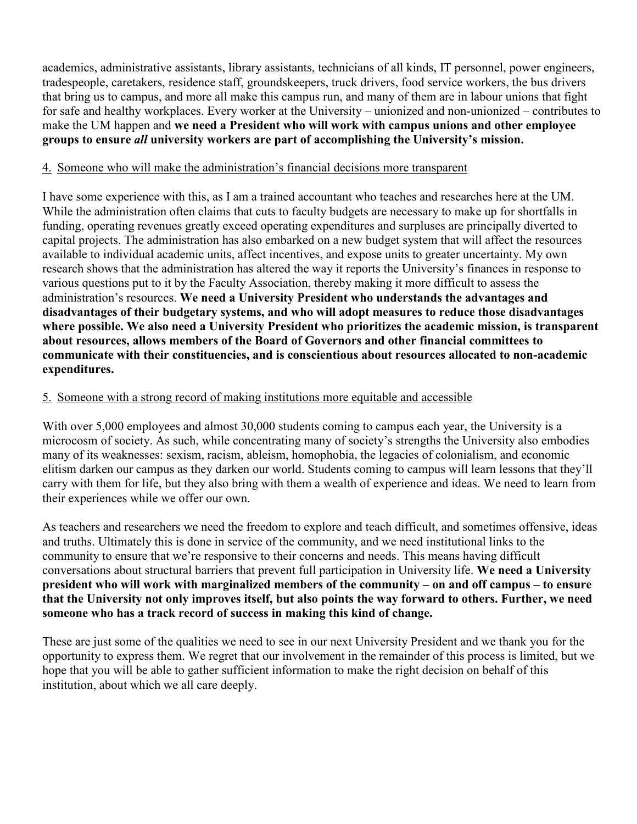academics, administrative assistants, library assistants, technicians of all kinds, IT personnel, power engineers, tradespeople, caretakers, residence staff, groundskeepers, truck drivers, food service workers, the bus drivers that bring us to campus, and more all make this campus run, and many of them are in labour unions that fight for safe and healthy workplaces. Every worker at the University – unionized and non-unionized – contributes to make the UM happen and **we need a President who will work with campus unions and other employee groups to ensure** *all* **university workers are part of accomplishing the University's mission.**

#### 4. Someone who will make the administration's financial decisions more transparent

I have some experience with this, as I am a trained accountant who teaches and researches here at the UM. While the administration often claims that cuts to faculty budgets are necessary to make up for shortfalls in funding, operating revenues greatly exceed operating expenditures and surpluses are principally diverted to capital projects. The administration has also embarked on a new budget system that will affect the resources available to individual academic units, affect incentives, and expose units to greater uncertainty. My own research shows that the administration has altered the way it reports the University's finances in response to various questions put to it by the Faculty Association, thereby making it more difficult to assess the administration's resources. **We need a University President who understands the advantages and disadvantages of their budgetary systems, and who will adopt measures to reduce those disadvantages where possible. We also need a University President who prioritizes the academic mission, is transparent about resources, allows members of the Board of Governors and other financial committees to communicate with their constituencies, and is conscientious about resources allocated to non-academic expenditures.**

### 5. Someone with a strong record of making institutions more equitable and accessible

With over 5,000 employees and almost 30,000 students coming to campus each year, the University is a microcosm of society. As such, while concentrating many of society's strengths the University also embodies many of its weaknesses: sexism, racism, ableism, homophobia, the legacies of colonialism, and economic elitism darken our campus as they darken our world. Students coming to campus will learn lessons that they'll carry with them for life, but they also bring with them a wealth of experience and ideas. We need to learn from their experiences while we offer our own.

As teachers and researchers we need the freedom to explore and teach difficult, and sometimes offensive, ideas and truths. Ultimately this is done in service of the community, and we need institutional links to the community to ensure that we're responsive to their concerns and needs. This means having difficult conversations about structural barriers that prevent full participation in University life. **We need a University president who will work with marginalized members of the community – on and off campus – to ensure that the University not only improves itself, but also points the way forward to others. Further, we need someone who has a track record of success in making this kind of change.**

These are just some of the qualities we need to see in our next University President and we thank you for the opportunity to express them. We regret that our involvement in the remainder of this process is limited, but we hope that you will be able to gather sufficient information to make the right decision on behalf of this institution, about which we all care deeply.